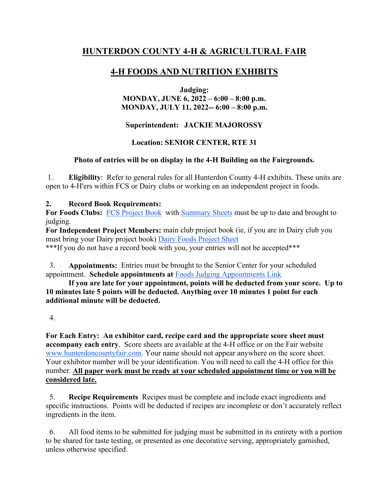# **HUNTERDON COUNTY 4-H & AGRICULTURAL FAIR**

# **4-H FOODS AND NUTRITION EXHIBITS**

**Judging:** 

**MONDAY, JUNE 6, 2022 – 6:00 – 8:00 p.m. MONDAY, JULY 11, 2022-- 6:00 – 8:00 p.m.**

**Superintendent: JACKIE MAJOROSSY**

## **Location: SENIOR CENTER, RTE 31**

## **Photo of entries will be on display in the 4-H Building on the Fairgrounds.**

1. **Eligibility**: Refer to general rules for all Hunterdon County 4-H exhibits. These units are open to 4-H'ers within FCS or Dairy clubs or working on an independent project in foods.

### **2. Record Book Requirements:**

For Foods Clubs: [FCS Project Book](https://www.co.hunterdon.nj.us/pdf/4h/forms/FCS-ProjectRecordBook.pdf) with [Summary Sheets](https://www.co.hunterdon.nj.us/pdf/4h/forms/countyawards/Summary%20Sheet-Write.pdf) must be up to date and brought to judging.

**For Independent Project Members:** main club project book (ie, if you are in Dairy club you must bring your Dairy project book) [Dairy Foods Project Sheet](https://www.co.hunterdon.nj.us/pdf/4h/forms/Project%20Record%20Sheets/7%20Dairy%20Foods%20Record%20Sheet.pdf)  \*\*\*If you do not have a record book with you, your entries will not be accepted\*\*\*

 3. **Appointments:** Entries must be brought to the Senior Center for your scheduled appointment. **Schedule appointments at** [Foods Judging Appointments Link](https://tinyurl.com/FoodsJudging2022)

 **If you are late for your appointment, points will be deducted from your score. Up to 10 minutes late 5 points will be deducted. Anything over 10 minutes 1 point for each additional minute will be deducted.**

4.

**For Each Entry: An exhibitor card, recipe card and the appropriate score sheet must accompany each entry**. Score sheets are available at the 4-H office or on the Fair website [www.hunterdoncountyfair.com.](http://www.hunterdoncountyfair.com/) Your name should not appear anywhere on the score sheet. Your exhibitor number will be your identification. You will need to call the 4-H office for this number. **All paper work must be ready at your scheduled appointment time or you will be considered late.**

 5. **Recipe Requirements** Recipes must be complete and include exact ingredients and specific instructions. Points will be deducted if recipes are incomplete or don't accurately reflect ingredients in the item.

 6. All food items to be submitted for judging must be submitted in its entirety with a portion to be shared for taste testing, or presented as one decorative serving, appropriately garnished, unless otherwise specified.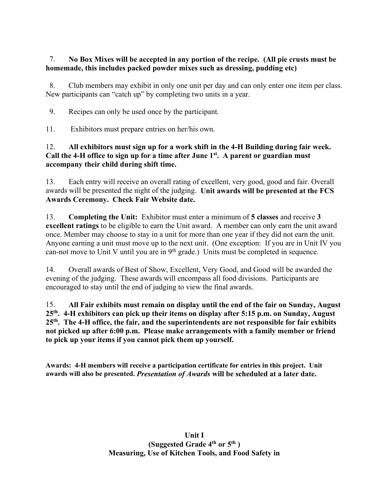### 7. **No Box Mixes will be accepted in any portion of the recipe. (All pie crusts must be homemade, this includes packed powder mixes such as dressing, pudding etc)**

 8. Club members may exhibit in only one unit per day and can only enter one item per class. New participants can "catch up" by completing two units in a year.

9. Recipes can only be used once by the participant.

11. Exhibitors must prepare entries on her/his own.

### 12. **All exhibitors must sign up for a work shift in the 4-H Building during fair week. Call the 4-H office to sign up for a time after June 1st. A parent or guardian must accompany their child during shift time.**

13. Each entry will receive an overall rating of excellent, very good, good and fair. Overall awards will be presented the night of the judging. **Unit awards will be presented at the FCS Awards Ceremony. Check Fair Website date.** 

13. **Completing the Unit:** Exhibitor must enter a minimum of **5 classes** and receive **3 excellent ratings** to be eligible to earn the Unit award. A member can only earn the unit award once. Member may choose to stay in a unit for more than one year if they did not earn the unit. Anyone earning a unit must move up to the next unit. (One exception: If you are in Unit IV you can-not move to Unit V until you are in  $9<sup>th</sup>$  grade.) Units must be completed in sequence.

14. Overall awards of Best of Show, Excellent, Very Good, and Good will be awarded the evening of the judging. These awards will encompass all food divisions. Participants are encouraged to stay until the end of judging to view the final awards.

15. **All Fair exhibits must remain on display until the end of the fair on Sunday, August 25th. 4-H exhibitors can pick up their items on display after 5:15 p.m. on Sunday, August 25th. The 4-H office, the fair, and the superintendents are not responsible for fair exhibits not picked up after 6:00 p.m. Please make arrangements with a family member or friend to pick up your items if you cannot pick them up yourself.**

**Awards: 4-H members will receive a participation certificate for entries in this project. Unit awards will also be presented.** *Presentation of Awards* **will be scheduled at a later date.**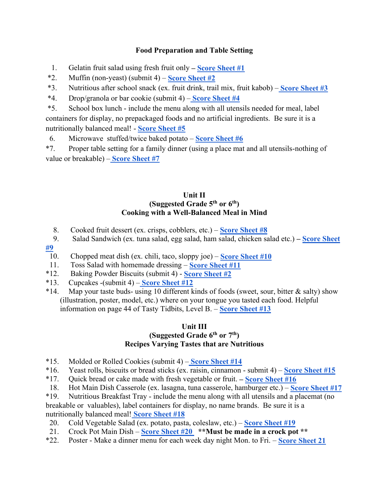### **Food Preparation and Table Setting**

1. Gelatin fruit salad using fresh fruit only **– [Score Sheet #1](http://www.hunterdoncountyfair.com/images/PDF/countyfourh/foodnutrition/scoresheetfoodnut/FruitCuporGelatin.pdf)**

\*2. Muffin (non-yeast) (submit 4) – **[Score Sheet #2](http://www.hunterdoncountyfair.com/images/PDF/countyfourh/foodnutrition/scoresheetfoodnut/MuffinsBiscuitsNonYeast.pdf)**

\*3. Nutritious after school snack (ex. fruit drink, trail mix, fruit kabob) [–](http://www.hunterdoncountyfair.com/images/PDF/countyfourh/foodnutrition/scoresheetfoodnut/NutritiousAfternoonSnack.pdf) **[Score Sheet #3](http://www.hunterdoncountyfair.com/images/PDF/countyfourh/foodnutrition/scoresheetfoodnut/NutritiousAfternoonSnack.pdf)**

\*4. Drop/granola or bar cookie (submit 4) [–](http://www.hunterdoncountyfair.com/images/PDF/countyfourh/foodnutrition/scoresheetfoodnut/DropBarCookie.pdf) **[Score Sheet #4](http://www.hunterdoncountyfair.com/images/PDF/countyfourh/foodnutrition/scoresheetfoodnut/DropBarCookie.pdf)**

\*5. School box lunch - include the menu along with all utensils needed for meal, label containers for display, no prepackaged foods and no artificial ingredients. Be sure it is a nutritionally balanced meal! - **[Score Sheet #5](http://www.hunterdoncountyfair.com/images/PDF/countyfourh/foodnutrition/scoresheetfoodnut/SchoolBoxLunch.pdf)**

6. Microwave stuffed/twice baked potato – **[Score Sheet #6](http://www.hunterdoncountyfair.com/images/PDF/countyfourh/foodnutrition/scoresheetfoodnut/MicroStuffedPotato.pdf)**

\*7. Proper table setting for a family dinner (using a place mat and all utensils-nothing of value or breakable) [–](http://www.hunterdoncountyfair.com/images/PDF/countyfourh/foodnutrition/scoresheetfoodnut/Tablesetting.pdf) **[Score Sheet #7](http://www.hunterdoncountyfair.com/images/PDF/countyfourh/foodnutrition/scoresheetfoodnut/Tablesetting.pdf)**

#### **Unit II (Suggested Grade 5th or 6th) Cooking with a Well-Balanced Meal in Mind**

- 8. Cooked fruit dessert (ex. crisps, cobblers, etc.) **[Score Sheet #8](http://www.hunterdoncountyfair.com/images/PDF/countyfourh/foodnutrition/scoresheetfoodnut/CookedFruitDessert.pdf)**
- 9. Salad Sandwich (ex. tuna salad, egg salad, ham salad, chicken salad etc.) **– [Score Sheet](http://www.hunterdoncountyfair.com/images/PDF/countyfourh/foodnutrition/scoresheetfoodnut/SaladSandwich.pdf)**
- **[#9](http://www.hunterdoncountyfair.com/images/PDF/countyfourh/foodnutrition/scoresheetfoodnut/SaladSandwich.pdf)**

10. Chopped meat dish (ex. chili, taco, sloppy joe) – **[Score Sheet #10](http://www.hunterdoncountyfair.com/images/PDF/countyfourh/foodnutrition/scoresheetfoodnut/ChoppedMeatDish.pdf)**

- 11. Toss Salad with homemade dressing **[Score Sheet #11](http://www.hunterdoncountyfair.com/images/PDF/countyfourh/foodnutrition/scoresheetfoodnut/SaladHomemadeDressing.pdf)**
- \*12. Baking Powder Biscuits (submit 4) **[Score Sheet #2](http://www.hunterdoncountyfair.com/images/PDF/countyfourh/foodnutrition/scoresheetfoodnut/MuffinsBiscuitsNonYeast.pdf)**
- \*13. Cupcakes -(submit 4) **[Score Sheet #12](http://www.hunterdoncountyfair.com/images/PDF/countyfourh/foodnutrition/scoresheetfoodnut/Cupcakes.pdf)**
- \*14. Map your taste buds- using 10 different kinds of foods (sweet, sour, bitter  $\&$  salty) show (illustration, poster, model, etc.) where on your tongue you tasted each food. Helpful information on page 44 of Tasty Tidbits, Level B. – **[Score Sheet #13](http://www.hunterdoncountyfair.com/images/PDF/countyfourh/foodnutrition/scoresheetfoodnut/MapYourTasteBuds.pdf)**

## **Unit III**

## **(Suggested Grade 6th or 7th) Recipes Varying Tastes that are Nutritious**

- \*15. Molded or Rolled Cookies (submit 4) **[Score Sheet #14](http://www.hunterdoncountyfair.com/images/PDF/countyfourh/foodnutrition/scoresheetfoodnut/MoldedRolledCookies.pdf)**
- \*16. Yeast rolls, biscuits or bread sticks (ex. raisin, cinnamon submit 4) **[Score Sheet #15](http://www.hunterdoncountyfair.com/images/PDF/countyfourh/foodnutrition/scoresheetfoodnut/YeastRollsBiscuitBread.pdf)**
- \*17. Quick bread or cake made with fresh vegetable or fruit. **– [Score Sheet #16](http://www.hunterdoncountyfair.com/images/PDF/countyfourh/foodnutrition/scoresheetfoodnut/PotatoorStarchDish.pdf)**
- 18. Hot Main Dish Casserole (ex. lasagna, tuna casserole, hamburger etc.) **[Score Sheet #17](http://www.hunterdoncountyfair.com/images/PDF/countyfourh/foodnutrition/scoresheetfoodnut/MainDishCasserole.pdf)**
- \*19. Nutritious Breakfast Tray include the menu along with all utensils and a placemat (no breakable or valuables), label containers for display, no name brands. Be sure it is a nutritionally balanced meal! **[Score Sheet #18](http://www.hunterdoncountyfair.com/images/PDF/countyfourh/foodnutrition/scoresheetfoodnut/NutritiousBreakfastTray.pdf)**
- 20. Cold Vegetable Salad (ex. potato, pasta, coleslaw, etc.) **[Score Sheet #19](http://www.hunterdoncountyfair.com/images/PDF/countyfourh/foodnutrition/scoresheetfoodnut/ColdVegSalad.pdf)**
- 21. Crock Pot Main Dish **[Score Sheet #20](http://www.hunterdoncountyfair.com/images/PDF/countyfourh/foodnutrition/scoresheetfoodnut/CrockPotMainDish.pdf) \*\*Must be made in a crock pot \*\***
- \*22. Poster Make a dinner menu for each week day night Mon. to Fri. **[Score Sheet 21](http://www.hunterdoncountyfair.com/images/PDF/countyfourh/foodnutrition/scoresheetfoodnut/PosterDinnerMenu.pdf)**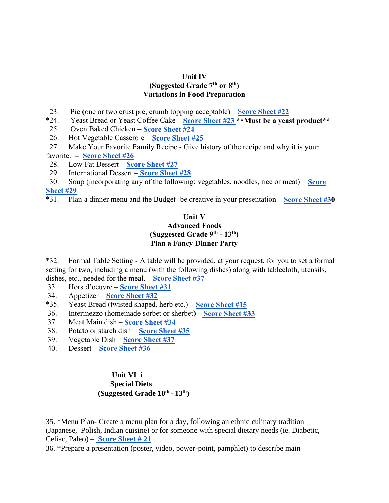#### **Unit IV**

#### **(Suggested Grade 7th or 8th) Variations in Food Preparation**

- 23. Pie (one or two crust pie, crumb topping acceptable) [S](http://www.hunterdoncountyfair.com/images/PDF/countyfourh/foodnutrition/scoresheetfoodnut/Pie.pdf)**[core Sheet #22](http://www.hunterdoncountyfair.com/images/PDF/countyfourh/foodnutrition/scoresheetfoodnut/Pie.pdf)**
- \*24. Yeast Bread or Yeast Coffee Cake **[Score Sheet #23 \\*](http://www.hunterdoncountyfair.com/images/PDF/countyfourh/foodnutrition/scoresheetfoodnut/YeastBreadCoffeeCake.pdf)\*Must be a yeast product\*\***
- 25. Oven Baked Chicken **[Score Sheet #24](http://www.hunterdoncountyfair.com/images/PDF/countyfourh/foodnutrition/scoresheetfoodnut/OvenBakedChicken.pdf)**
- 26. Hot Vegetable Casserole **[Score Sheet #25](http://www.hunterdoncountyfair.com/images/PDF/countyfourh/foodnutrition/scoresheetfoodnut/VegetableDishHot.pdf)**
- 27. Make Your Favorite Family Recipe Give history of the recipe and why it is your favorite. **– [Score](http://www.hunterdoncountyfair.com/images/PDF/countyfourh/foodnutrition/scoresheetfoodnut/FavoriteFamilyRecipe.pdf) [Sheet #26](http://www.hunterdoncountyfair.com/images/PDF/countyfourh/foodnutrition/scoresheetfoodnut/FavoriteFamilyRecipe.pdf)**
- 
- 28. Low Fat Dessert **– [Score Sheet #27](http://www.hunterdoncountyfair.com/images/PDF/countyfourh/foodnutrition/scoresheetfoodnut/LowFatBakedDessert.pdf)**
- 29. International Dessert **[Score Sheet #28](http://www.hunterdoncountyfair.com/images/PDF/countyfourh/foodnutrition/scoresheetfoodnut/InternationalDessert.pdf)**
- 30. Soup (incorporating any of the following: vegetables, noodles, rice or meat) **[Score](http://www.hunterdoncountyfair.com/images/PDF/countyfourh/foodnutrition/scoresheetfoodnut/Soup.pdf)  [Sheet #29](http://www.hunterdoncountyfair.com/images/PDF/countyfourh/foodnutrition/scoresheetfoodnut/Soup.pdf)**
- \*31. Plan a dinner menu and the Budget -be creative in your presentation **[Score Sheet #30](http://www.hunterdoncountyfair.com/images/PDF/countyfourh/foodnutrition/scoresheetfoodnut/DinnerMenuBudget.pdf)**

#### **Unit V Advanced Foods (Suggested Grade 9th - 13th) Plan a Fancy Dinner Party**

\*32. Formal Table Setting - A table will be provided, at your request, for you to set a formal setting for two, including a menu (with the following dishes) along with tablecloth, utensils, dishes, etc., needed for the meal. **– [Score Sheet #37](http://www.hunterdoncountyfair.com/images/PDF/countyfourh/foodnutrition/scoresheetfoodnut/FormalTablesetting.pdf)**

- 33. Hors d'oeuvre **[Score Sheet #31](http://www.hunterdoncountyfair.com/images/PDF/countyfourh/foodnutrition/scoresheetfoodnut/Horsdoeuvres.pdf)**
- 34. Appetizer **[Score Sheet #32](http://www.hunterdoncountyfair.com/images/PDF/countyfourh/frozenfood/scoresheetfrozen/Poster-SS.pdf)**
- \*35. Yeast Bread (twisted shaped, herb etc.) **[Score Sheet #15](http://www.hunterdoncountyfair.com/images/PDF/countyfourh/foodnutrition/scoresheetfoodnut/YeastRollsBiscuitBread.pdf)**
- 36. Intermezzo (homemade sorbet or sherbet) [–](http://www.hunterdoncountyfair.com/images/PDF/countyfourh/foodnutrition/scoresheetfoodnut/Intermezzo.pdf) **[Score Sheet #33](http://www.hunterdoncountyfair.com/images/PDF/countyfourh/foodnutrition/scoresheetfoodnut/Intermezzo.pdf)**
- 37. Meat Main dish **[Score Sheet #34](http://www.hunterdoncountyfair.com/images/PDF/countyfourh/foodnutrition/scoresheetfoodnut/MeatMainDish.pdf)**
- 38. Potato or starch dish **[Score Sheet #35](http://www.hunterdoncountyfair.com/images/PDF/countyfourh/foodnutrition/scoresheetfoodnut/PotatoorStarchDish.pdf)**
- 39. Vegetable Dish **[Score Sheet #37](http://www.hunterdoncountyfair.com/images/PDF/countyfourh/foodnutrition/scoresheetfoodnut/FormalTablesetting.pdf)**
- 40. Dessert **[Score Sheet #36](http://www.hunterdoncountyfair.com/images/PDF/countyfourh/foodnutrition/scoresheetfoodnut/Dessert.pdf)**

### **Unit VI i Special Diets (Suggested Grade 10th - 13th)**

35. \*Menu Plan- Create a menu plan for a day, following an ethnic culinary tradition (Japanese, Polish, Indian cuisine) or for someone with special dietary needs (ie. Diabetic, Celiac, Paleo) – **[Score Sheet # 21](http://www.hunterdoncountyfair.com/images/PDF/countyfourh/foodnutrition/scoresheetfoodnut/PosterDinnerMenu.pdf)**

36. \*Prepare a presentation (poster, video, power-point, pamphlet) to describe main